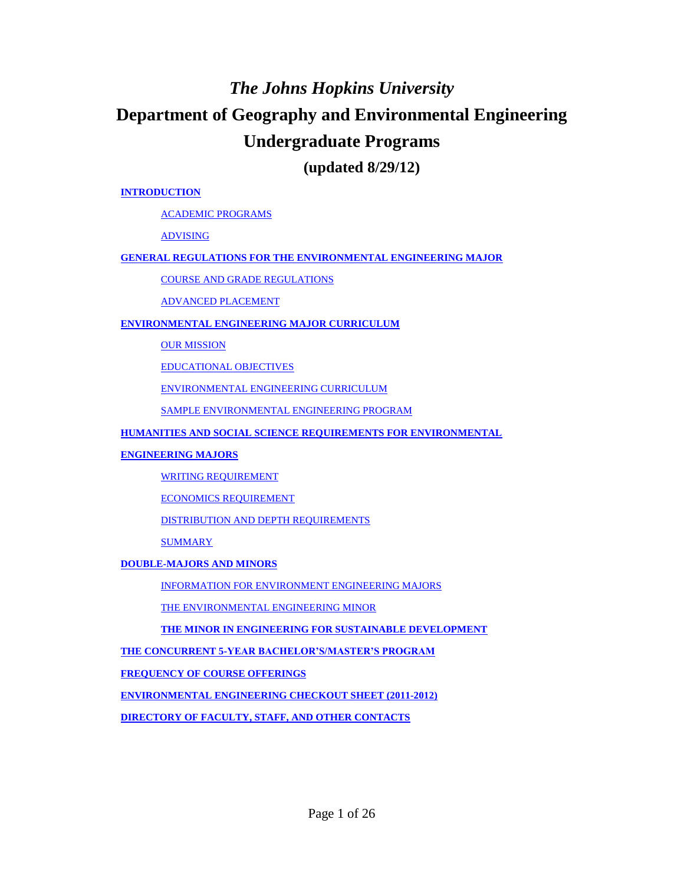# *The Johns Hopkins University*

# **Department of Geography and Environmental Engineering Undergraduate Programs**

**(updated 8/29/12)**

#### **INTRODUCTION**

ACADEMIC PROGRAMS

ADVISING

#### **GENERAL REGULATIONS FOR THE ENVIRONMENTAL ENGINEERING MAJOR**

COURSE AND GRADE REGULATIONS

ADVANCED PLACEMENT

#### **ENVIRONMENTAL ENGINEERING MAJOR CURRICULUM**

**OUR MISSION** 

EDUCATIONAL OBJECTIVES

ENVIRONMENTAL ENGINEERING CURRICULUM

SAMPLE ENVIRONMENTAL ENGINEERING PROGRAM

#### **HUMANITIES AND SOCIAL SCIENCE REQUIREMENTS FOR ENVIRONMENTAL**

#### **ENGINEERING MAJORS**

WRITING REQUIREMENT

ECONOMICS REQUIREMENT

DISTRIBUTION AND DEPTH REQUIREMENTS

SUMMARY

#### **DOUBLE-MAJORS AND MINORS**

INFORMATION FOR ENVIRONMENT ENGINEERING MAJORS

THE ENVIRONMENTAL ENGINEERING MINOR

**THE MINOR IN ENGINEERING FOR SUSTAINABLE DEVELOPMENT** 

**THE CONCURRENT 5-YEAR BACHELOR'S/MASTER'S PROGRAM**

**FREQUENCY OF COURSE OFFERINGS**

**ENVIRONMENTAL ENGINEERING CHECKOUT SHEET (2011-2012)**

**DIRECTORY OF FACULTY, STAFF, AND OTHER CONTACTS**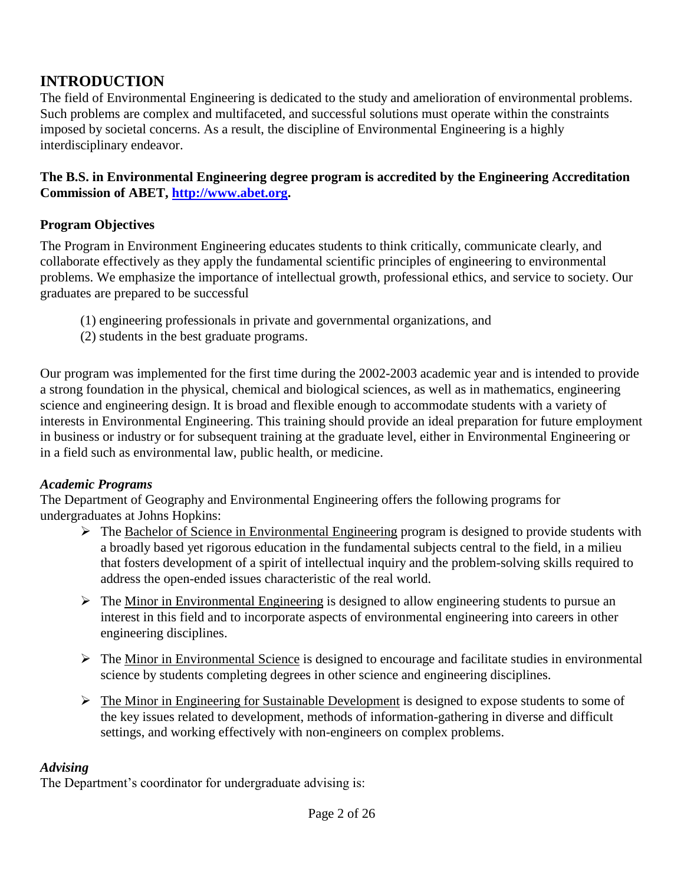# **INTRODUCTION**

The field of Environmental Engineering is dedicated to the study and amelioration of environmental problems. Such problems are complex and multifaceted, and successful solutions must operate within the constraints imposed by societal concerns. As a result, the discipline of Environmental Engineering is a highly interdisciplinary endeavor.

### **The B.S. in Environmental Engineering degree program is accredited by the Engineering Accreditation Commission of ABET, http://www.abet.org.**

### **Program Objectives**

The Program in Environment Engineering educates students to think critically, communicate clearly, and collaborate effectively as they apply the fundamental scientific principles of engineering to environmental problems. We emphasize the importance of intellectual growth, professional ethics, and service to society. Our graduates are prepared to be successful

- (1) engineering professionals in private and governmental organizations, and
- (2) students in the best graduate programs.

Our program was implemented for the first time during the 2002-2003 academic year and is intended to provide a strong foundation in the physical, chemical and biological sciences, as well as in mathematics, engineering science and engineering design. It is broad and flexible enough to accommodate students with a variety of interests in Environmental Engineering. This training should provide an ideal preparation for future employment in business or industry or for subsequent training at the graduate level, either in Environmental Engineering or in a field such as environmental law, public health, or medicine.

### *Academic Programs*

The Department of Geography and Environmental Engineering offers the following programs for undergraduates at Johns Hopkins:

- $\triangleright$  The Bachelor of Science in Environmental Engineering program is designed to provide students with a broadly based yet rigorous education in the fundamental subjects central to the field, in a milieu that fosters development of a spirit of intellectual inquiry and the problem-solving skills required to address the open-ended issues characteristic of the real world.
- $\triangleright$  The Minor in Environmental Engineering is designed to allow engineering students to pursue an interest in this field and to incorporate aspects of environmental engineering into careers in other engineering disciplines.
- $\triangleright$  The Minor in Environmental Science is designed to encourage and facilitate studies in environmental science by students completing degrees in other science and engineering disciplines.
- $\triangleright$  The Minor in Engineering for Sustainable Development is designed to expose students to some of the key issues related to development, methods of information-gathering in diverse and difficult settings, and working effectively with non-engineers on complex problems.

### *Advising*

The Department's coordinator for undergraduate advising is: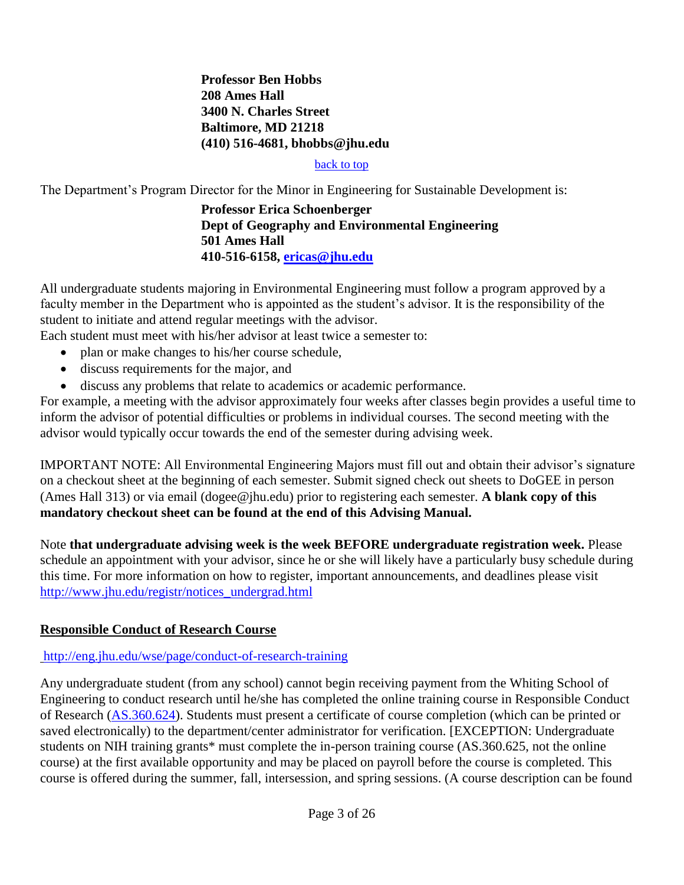#### **Professor Ben Hobbs 208 Ames Hall 3400 N. Charles Street Baltimore, MD 21218 (410) 516-4681, bhobbs@jhu.edu**

#### back to top

The Department's Program Director for the Minor in Engineering for Sustainable Development is:

#### **Professor Erica Schoenberger Dept of Geography and Environmental Engineering 501 Ames Hall 410-516-6158, ericas@jhu.edu**

All undergraduate students majoring in Environmental Engineering must follow a program approved by a faculty member in the Department who is appointed as the student's advisor. It is the responsibility of the student to initiate and attend regular meetings with the advisor.

Each student must meet with his/her advisor at least twice a semester to:

- plan or make changes to his/her course schedule,
- discuss requirements for the major, and
- discuss any problems that relate to academics or academic performance.

For example, a meeting with the advisor approximately four weeks after classes begin provides a useful time to inform the advisor of potential difficulties or problems in individual courses. The second meeting with the advisor would typically occur towards the end of the semester during advising week.

IMPORTANT NOTE: All Environmental Engineering Majors must fill out and obtain their advisor's signature on a checkout sheet at the beginning of each semester. Submit signed check out sheets to DoGEE in person (Ames Hall 313) or via email (dogee@jhu.edu) prior to registering each semester. **A blank copy of this mandatory checkout sheet can be found at the end of this Advising Manual.**

Note **that undergraduate advising week is the week BEFORE undergraduate registration week.** Please schedule an appointment with your advisor, since he or she will likely have a particularly busy schedule during this time. For more information on how to register, important announcements, and deadlines please visit http://www.jhu.edu/registr/notices\_undergrad.html

### **Responsible Conduct of Research Course**

#### http://eng.jhu.edu/wse/page/conduct-of-research-training

Any undergraduate student (from any school) cannot begin receiving payment from the Whiting School of Engineering to conduct research until he/she has completed the online training course in Responsible Conduct of Research (AS.360.624). Students must present a certificate of course completion (which can be printed or saved electronically) to the department/center administrator for verification. [EXCEPTION: Undergraduate students on NIH training grants\* must complete the in-person training course (AS.360.625, not the online course) at the first available opportunity and may be placed on payroll before the course is completed. This course is offered during the summer, fall, intersession, and spring sessions. (A course description can be found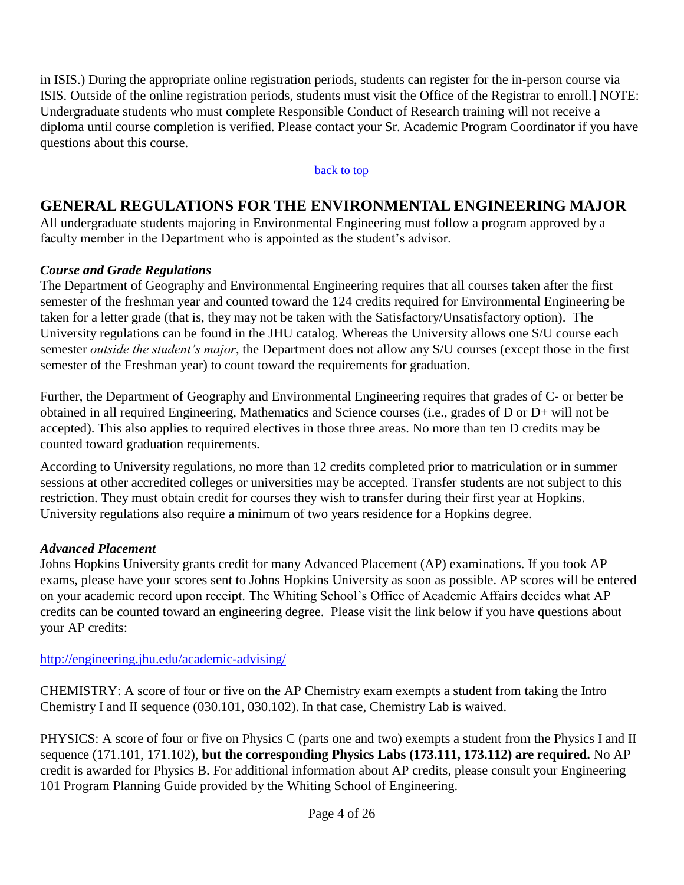in ISIS.) During the appropriate online registration periods, students can register for the in-person course via ISIS. Outside of the online registration periods, students must visit the Office of the Registrar to enroll.] NOTE: Undergraduate students who must complete Responsible Conduct of Research training will not receive a diploma until course completion is verified. Please contact your Sr. Academic Program Coordinator if you have questions about this course.

#### back to top

## **GENERAL REGULATIONS FOR THE ENVIRONMENTAL ENGINEERING MAJOR**

All undergraduate students majoring in Environmental Engineering must follow a program approved by a faculty member in the Department who is appointed as the student's advisor.

### *Course and Grade Regulations*

The Department of Geography and Environmental Engineering requires that all courses taken after the first semester of the freshman year and counted toward the 124 credits required for Environmental Engineering be taken for a letter grade (that is, they may not be taken with the Satisfactory/Unsatisfactory option). The University regulations can be found in the JHU catalog. Whereas the University allows one S/U course each semester *outside the student's major*, the Department does not allow any S/U courses (except those in the first semester of the Freshman year) to count toward the requirements for graduation.

Further, the Department of Geography and Environmental Engineering requires that grades of C- or better be obtained in all required Engineering, Mathematics and Science courses (i.e., grades of D or D+ will not be accepted). This also applies to required electives in those three areas. No more than ten D credits may be counted toward graduation requirements.

According to University regulations, no more than 12 credits completed prior to matriculation or in summer sessions at other accredited colleges or universities may be accepted. Transfer students are not subject to this restriction. They must obtain credit for courses they wish to transfer during their first year at Hopkins. University regulations also require a minimum of two years residence for a Hopkins degree.

### *Advanced Placement*

Johns Hopkins University grants credit for many Advanced Placement (AP) examinations. If you took AP exams, please have your scores sent to Johns Hopkins University as soon as possible. AP scores will be entered on your academic record upon receipt. The Whiting School's Office of Academic Affairs decides what AP credits can be counted toward an engineering degree. Please visit the link below if you have questions about your AP credits:

http://engineering.jhu.edu/academic-advising/

CHEMISTRY: A score of four or five on the AP Chemistry exam exempts a student from taking the Intro Chemistry I and II sequence (030.101, 030.102). In that case, Chemistry Lab is waived.

PHYSICS: A score of four or five on Physics C (parts one and two) exempts a student from the Physics I and II sequence (171.101, 171.102), **but the corresponding Physics Labs (173.111, 173.112) are required.** No AP credit is awarded for Physics B. For additional information about AP credits, please consult your Engineering 101 Program Planning Guide provided by the Whiting School of Engineering.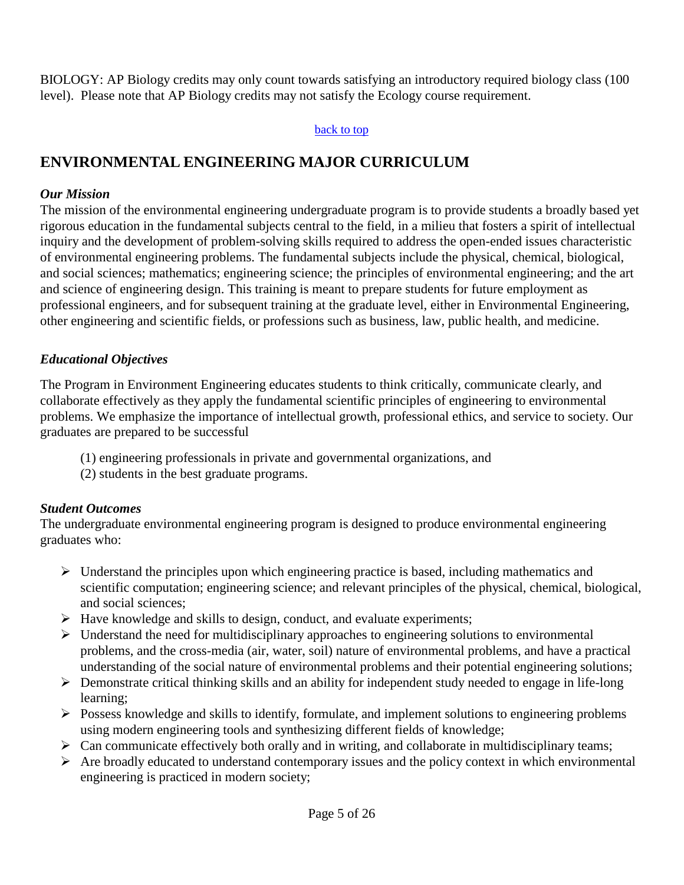BIOLOGY: AP Biology credits may only count towards satisfying an introductory required biology class (100 level). Please note that AP Biology credits may not satisfy the Ecology course requirement.

#### back to top

# **ENVIRONMENTAL ENGINEERING MAJOR CURRICULUM**

#### *Our Mission*

The mission of the environmental engineering undergraduate program is to provide students a broadly based yet rigorous education in the fundamental subjects central to the field, in a milieu that fosters a spirit of intellectual inquiry and the development of problem-solving skills required to address the open-ended issues characteristic of environmental engineering problems. The fundamental subjects include the physical, chemical, biological, and social sciences; mathematics; engineering science; the principles of environmental engineering; and the art and science of engineering design. This training is meant to prepare students for future employment as professional engineers, and for subsequent training at the graduate level, either in Environmental Engineering, other engineering and scientific fields, or professions such as business, law, public health, and medicine.

### *Educational Objectives*

The Program in Environment Engineering educates students to think critically, communicate clearly, and collaborate effectively as they apply the fundamental scientific principles of engineering to environmental problems. We emphasize the importance of intellectual growth, professional ethics, and service to society. Our graduates are prepared to be successful

- (1) engineering professionals in private and governmental organizations, and
- (2) students in the best graduate programs.

### *Student Outcomes*

The undergraduate environmental engineering program is designed to produce environmental engineering graduates who:

- $\triangleright$  Understand the principles upon which engineering practice is based, including mathematics and scientific computation; engineering science; and relevant principles of the physical, chemical, biological, and social sciences;
- $\triangleright$  Have knowledge and skills to design, conduct, and evaluate experiments;
- $\triangleright$  Understand the need for multidisciplinary approaches to engineering solutions to environmental problems, and the cross-media (air, water, soil) nature of environmental problems, and have a practical understanding of the social nature of environmental problems and their potential engineering solutions;
- $\triangleright$  Demonstrate critical thinking skills and an ability for independent study needed to engage in life-long learning;
- $\triangleright$  Possess knowledge and skills to identify, formulate, and implement solutions to engineering problems using modern engineering tools and synthesizing different fields of knowledge;
- $\triangleright$  Can communicate effectively both orally and in writing, and collaborate in multidisciplinary teams;
- $\triangleright$  Are broadly educated to understand contemporary issues and the policy context in which environmental engineering is practiced in modern society;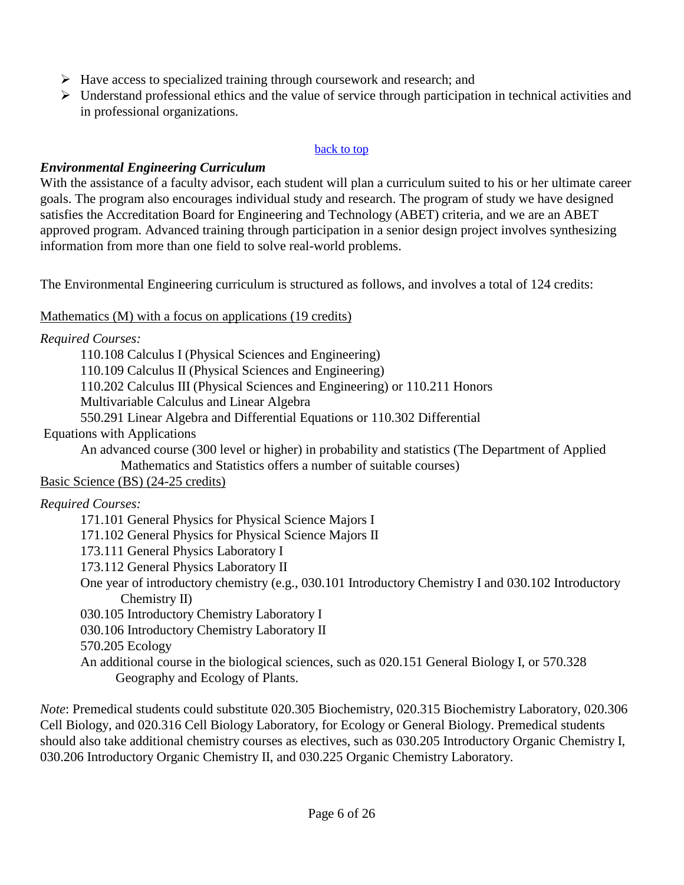- $\triangleright$  Have access to specialized training through coursework and research; and
- $\triangleright$  Understand professional ethics and the value of service through participation in technical activities and in professional organizations.

#### back to top

### *Environmental Engineering Curriculum*

With the assistance of a faculty advisor, each student will plan a curriculum suited to his or her ultimate career goals. The program also encourages individual study and research. The program of study we have designed satisfies the Accreditation Board for Engineering and Technology (ABET) criteria, and we are an ABET approved program. Advanced training through participation in a senior design project involves synthesizing information from more than one field to solve real-world problems.

The Environmental Engineering curriculum is structured as follows, and involves a total of 124 credits:

Mathematics (M) with a focus on applications (19 credits)

|  | Required Courses: |
|--|-------------------|
|--|-------------------|

110.108 Calculus I (Physical Sciences and Engineering) 110.109 Calculus II (Physical Sciences and Engineering) 110.202 Calculus III (Physical Sciences and Engineering) or 110.211 Honors Multivariable Calculus and Linear Algebra 550.291 Linear Algebra and Differential Equations or 110.302 Differential Equations with Applications An advanced course (300 level or higher) in probability and statistics (The Department of Applied Mathematics and Statistics offers a number of suitable courses) Basic Science (BS) (24-25 credits) *Required Courses:* 171.101 General Physics for Physical Science Majors I 171.102 General Physics for Physical Science Majors II 173.111 General Physics Laboratory I 173.112 General Physics Laboratory II One year of introductory chemistry (e.g., 030.101 Introductory Chemistry I and 030.102 Introductory Chemistry II) 030.105 Introductory Chemistry Laboratory I 030.106 Introductory Chemistry Laboratory II 570.205 Ecology An additional course in the biological sciences, such as 020.151 General Biology I, or 570.328 Geography and Ecology of Plants.

*Note*: Premedical students could substitute 020.305 Biochemistry, 020.315 Biochemistry Laboratory, 020.306 Cell Biology, and 020.316 Cell Biology Laboratory, for Ecology or General Biology. Premedical students should also take additional chemistry courses as electives, such as 030.205 Introductory Organic Chemistry I, 030.206 Introductory Organic Chemistry II, and 030.225 Organic Chemistry Laboratory.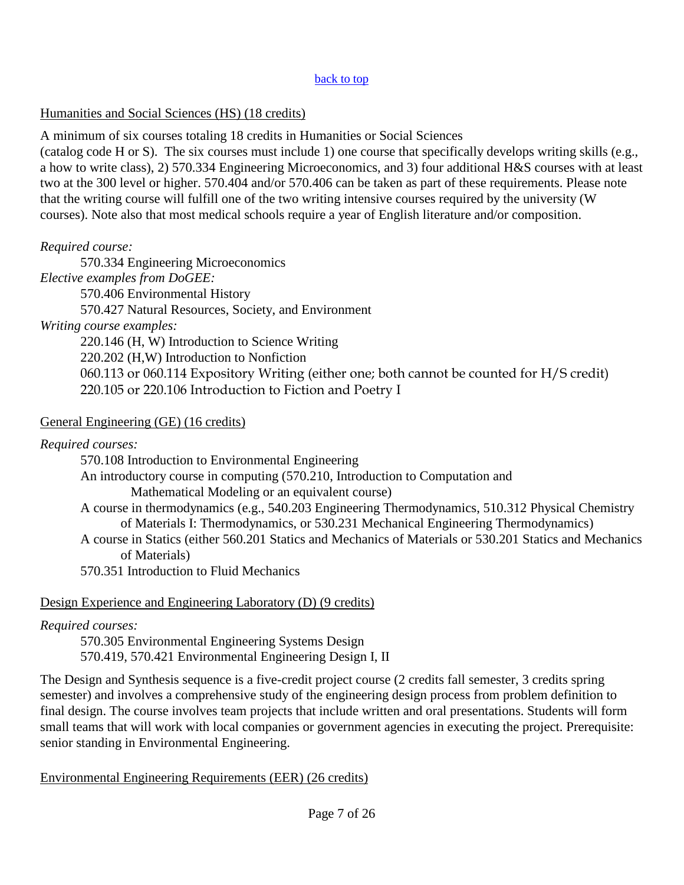#### back to top

#### Humanities and Social Sciences (HS) (18 credits)

A minimum of six courses totaling 18 credits in Humanities or Social Sciences (catalog code H or S). The six courses must include 1) one course that specifically develops writing skills (e.g., a how to write class), 2) 570.334 Engineering Microeconomics, and 3) four additional H&S courses with at least two at the 300 level or higher. 570.404 and/or 570.406 can be taken as part of these requirements. Please note that the writing course will fulfill one of the two writing intensive courses required by the university (W courses). Note also that most medical schools require a year of English literature and/or composition.

### *Required course:*

570.334 Engineering Microeconomics

*Elective examples from DoGEE:*

570.406 Environmental History

570.427 Natural Resources, Society, and Environment

*Writing course examples:*

220.146 (H, W) Introduction to Science Writing

220.202 (H,W) Introduction to Nonfiction

060.113 or 060.114 Expository Writing (either one; both cannot be counted for H/S credit) 220.105 or 220.106 Introduction to Fiction and Poetry I

### General Engineering (GE) (16 credits)

*Required courses:*

570.108 Introduction to Environmental Engineering

An introductory course in computing (570.210, Introduction to Computation and

Mathematical Modeling or an equivalent course)

A course in thermodynamics (e.g., 540.203 Engineering Thermodynamics, 510.312 Physical Chemistry of Materials I: Thermodynamics, or 530.231 Mechanical Engineering Thermodynamics)

A course in Statics (either 560.201 Statics and Mechanics of Materials or 530.201 Statics and Mechanics of Materials)

570.351 Introduction to Fluid Mechanics

## Design Experience and Engineering Laboratory (D) (9 credits)

## *Required courses:*

570.305 Environmental Engineering Systems Design 570.419, 570.421 Environmental Engineering Design I, II

The Design and Synthesis sequence is a five-credit project course (2 credits fall semester, 3 credits spring semester) and involves a comprehensive study of the engineering design process from problem definition to final design. The course involves team projects that include written and oral presentations. Students will form small teams that will work with local companies or government agencies in executing the project. Prerequisite: senior standing in Environmental Engineering.

## Environmental Engineering Requirements (EER) (26 credits)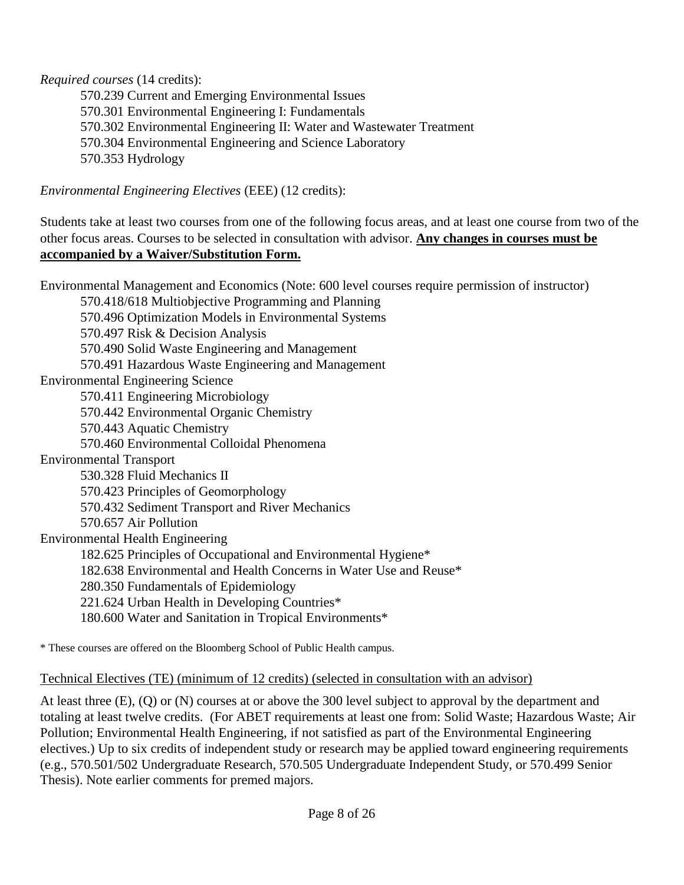*Required courses* (14 credits):

570.239 Current and Emerging Environmental Issues 570.301 Environmental Engineering I: Fundamentals 570.302 Environmental Engineering II: Water and Wastewater Treatment 570.304 Environmental Engineering and Science Laboratory 570.353 Hydrology

*Environmental Engineering Electives* (EEE) (12 credits):

Students take at least two courses from one of the following focus areas, and at least one course from two of the other focus areas. Courses to be selected in consultation with advisor. **Any changes in courses must be accompanied by a Waiver/Substitution Form.**

Environmental Management and Economics (Note: 600 level courses require permission of instructor)

570.418/618 Multiobjective Programming and Planning

570.496 Optimization Models in Environmental Systems

570.497 Risk & Decision Analysis

570.490 Solid Waste Engineering and Management

570.491 Hazardous Waste Engineering and Management

Environmental Engineering Science

570.411 Engineering Microbiology

570.442 Environmental Organic Chemistry

570.443 Aquatic Chemistry

570.460 Environmental Colloidal Phenomena

Environmental Transport

530.328 Fluid Mechanics II

570.423 Principles of Geomorphology

570.432 Sediment Transport and River Mechanics

570.657 Air Pollution

Environmental Health Engineering

182.625 Principles of Occupational and Environmental Hygiene\*

- 182.638 Environmental and Health Concerns in Water Use and Reuse\*
- 280.350 Fundamentals of Epidemiology

221.624 Urban Health in Developing Countries\*

180.600 Water and Sanitation in Tropical Environments\*

\* These courses are offered on the Bloomberg School of Public Health campus.

### Technical Electives (TE) (minimum of 12 credits) (selected in consultation with an advisor)

At least three (E), (Q) or (N) courses at or above the 300 level subject to approval by the department and totaling at least twelve credits. (For ABET requirements at least one from: Solid Waste; Hazardous Waste; Air Pollution; Environmental Health Engineering, if not satisfied as part of the Environmental Engineering electives.) Up to six credits of independent study or research may be applied toward engineering requirements (e.g., 570.501/502 Undergraduate Research, 570.505 Undergraduate Independent Study, or 570.499 Senior Thesis). Note earlier comments for premed majors.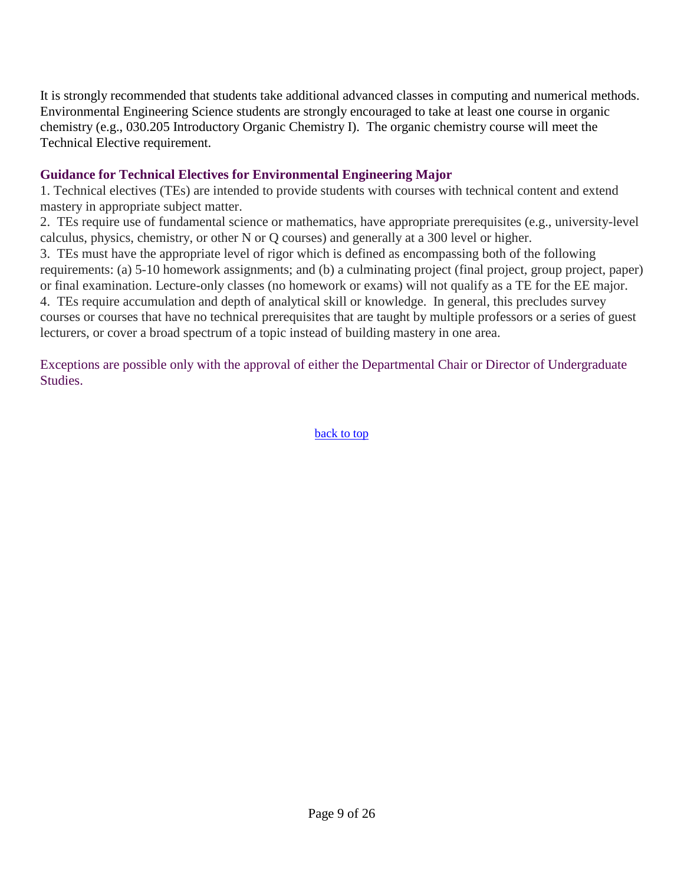It is strongly recommended that students take additional advanced classes in computing and numerical methods. Environmental Engineering Science students are strongly encouraged to take at least one course in organic chemistry (e.g., 030.205 Introductory Organic Chemistry I). The organic chemistry course will meet the Technical Elective requirement.

### **Guidance for Technical Electives for Environmental Engineering Major**

1. Technical electives (TEs) are intended to provide students with courses with technical content and extend mastery in appropriate subject matter.

2. TEs require use of fundamental science or mathematics, have appropriate prerequisites (e.g., university-level calculus, physics, chemistry, or other N or Q courses) and generally at a 300 level or higher.

3. TEs must have the appropriate level of rigor which is defined as encompassing both of the following requirements: (a) 5-10 homework assignments; and (b) a culminating project (final project, group project, paper) or final examination. Lecture-only classes (no homework or exams) will not qualify as a TE for the EE major. 4. TEs require accumulation and depth of analytical skill or knowledge. In general, this precludes survey

courses or courses that have no technical prerequisites that are taught by multiple professors or a series of guest lecturers, or cover a broad spectrum of a topic instead of building mastery in one area.

Exceptions are possible only with the approval of either the Departmental Chair or Director of Undergraduate Studies.

back to top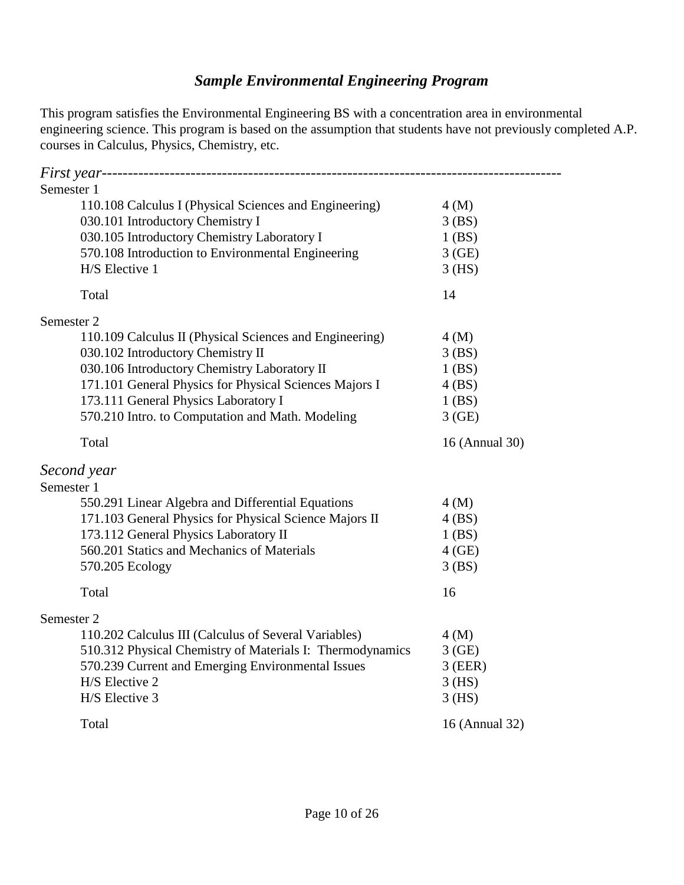# *Sample Environmental Engineering Program*

This program satisfies the Environmental Engineering BS with a concentration area in environmental engineering science. This program is based on the assumption that students have not previously completed A.P. courses in Calculus, Physics, Chemistry, etc.

| Semester 1                                                |                |
|-----------------------------------------------------------|----------------|
| 110.108 Calculus I (Physical Sciences and Engineering)    | 4(M)           |
| 030.101 Introductory Chemistry I                          | 3(BS)          |
| 030.105 Introductory Chemistry Laboratory I               | 1(BS)          |
| 570.108 Introduction to Environmental Engineering         | 3(GE)          |
| H/S Elective 1                                            | $3$ (HS)       |
| Total                                                     | 14             |
| Semester 2                                                |                |
| 110.109 Calculus II (Physical Sciences and Engineering)   | 4(M)           |
| 030.102 Introductory Chemistry II                         | 3(BS)          |
| 030.106 Introductory Chemistry Laboratory II              | $1$ (BS)       |
| 171.101 General Physics for Physical Sciences Majors I    | 4(BS)          |
| 173.111 General Physics Laboratory I                      | $1$ (BS)       |
| 570.210 Intro. to Computation and Math. Modeling          | 3(GE)          |
| Total                                                     | 16 (Annual 30) |
| Second year                                               |                |
| Semester 1                                                |                |
| 550.291 Linear Algebra and Differential Equations         | 4(M)           |
| 171.103 General Physics for Physical Science Majors II    | 4(BS)          |
| 173.112 General Physics Laboratory II                     | $1$ (BS)       |
| 560.201 Statics and Mechanics of Materials                | $4$ (GE)       |
| 570.205 Ecology                                           | 3(BS)          |
| Total                                                     | 16             |
| Semester 2                                                |                |
| 110.202 Calculus III (Calculus of Several Variables)      | 4(M)           |
| 510.312 Physical Chemistry of Materials I: Thermodynamics | 3(GE)          |
| 570.239 Current and Emerging Environmental Issues         | $3$ (EER)      |
| H/S Elective 2                                            | $3$ (HS)       |
| H/S Elective 3                                            | $3$ (HS)       |
| Total                                                     | 16 (Annual 32) |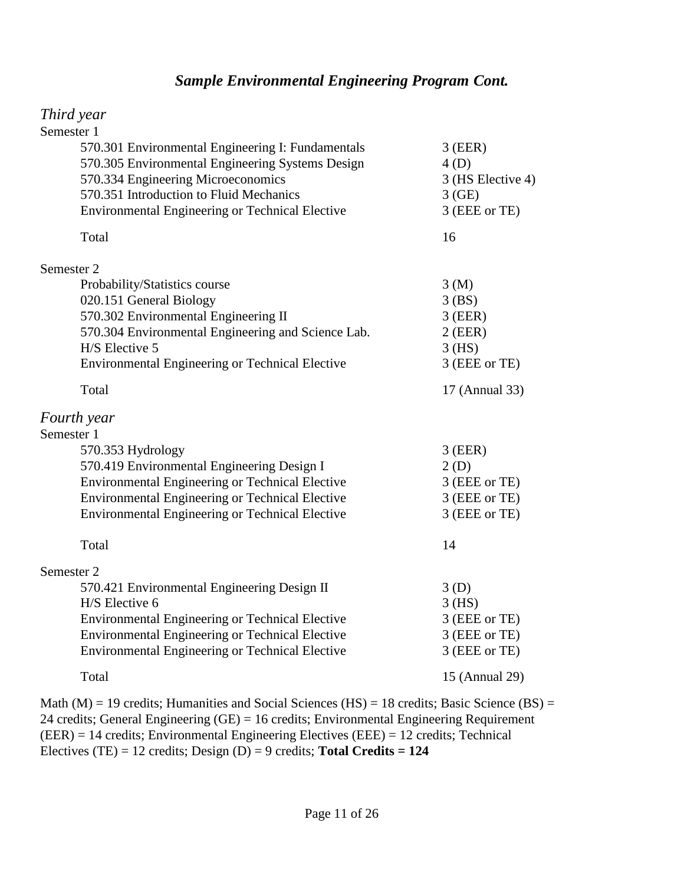### *Sample Environmental Engineering Program Cont.*

#### *Third year*

| Semester 1                                         |                   |
|----------------------------------------------------|-------------------|
| 570.301 Environmental Engineering I: Fundamentals  | $3$ (EER)         |
| 570.305 Environmental Engineering Systems Design   | 4(D)              |
| 570.334 Engineering Microeconomics                 | 3 (HS Elective 4) |
| 570.351 Introduction to Fluid Mechanics            | 3(GE)             |
| Environmental Engineering or Technical Elective    | 3 (EEE or TE)     |
| Total                                              | 16                |
| Semester 2                                         |                   |
| Probability/Statistics course                      | 3(M)              |
| 020.151 General Biology                            | $3$ (BS)          |
| 570.302 Environmental Engineering II               | $3$ (EER)         |
| 570.304 Environmental Engineering and Science Lab. | $2$ (EER)         |
| H/S Elective 5                                     | $3$ (HS)          |
| Environmental Engineering or Technical Elective    | 3 (EEE or TE)     |
| Total                                              | 17 (Annual 33)    |
| Fourth year                                        |                   |
| Semester 1                                         |                   |
| 570.353 Hydrology                                  | $3$ (EER)         |
| 570.419 Environmental Engineering Design I         | 2(D)              |
| Environmental Engineering or Technical Elective    | 3 (EEE or TE)     |
| Environmental Engineering or Technical Elective    | 3 (EEE or TE)     |
| Environmental Engineering or Technical Elective    | 3 (EEE or TE)     |
| Total                                              | 14                |
| Semester 2                                         |                   |
| 570.421 Environmental Engineering Design II        | 3(D)              |
| H/S Elective 6                                     | $3$ (HS)          |
| Environmental Engineering or Technical Elective    | 3 (EEE or TE)     |
| Environmental Engineering or Technical Elective    | 3 (EEE or TE)     |
| Environmental Engineering or Technical Elective    | 3 (EEE or TE)     |
| Total                                              | 15 (Annual 29)    |
|                                                    |                   |

Math (M) = 19 credits; Humanities and Social Sciences (HS) = 18 credits; Basic Science (BS) = 24 credits; General Engineering (GE) = 16 credits; Environmental Engineering Requirement (EER) = 14 credits; Environmental Engineering Electives (EEE) = 12 credits; Technical Electives (TE) = 12 credits; Design (D) = 9 credits; **Total Credits = 124**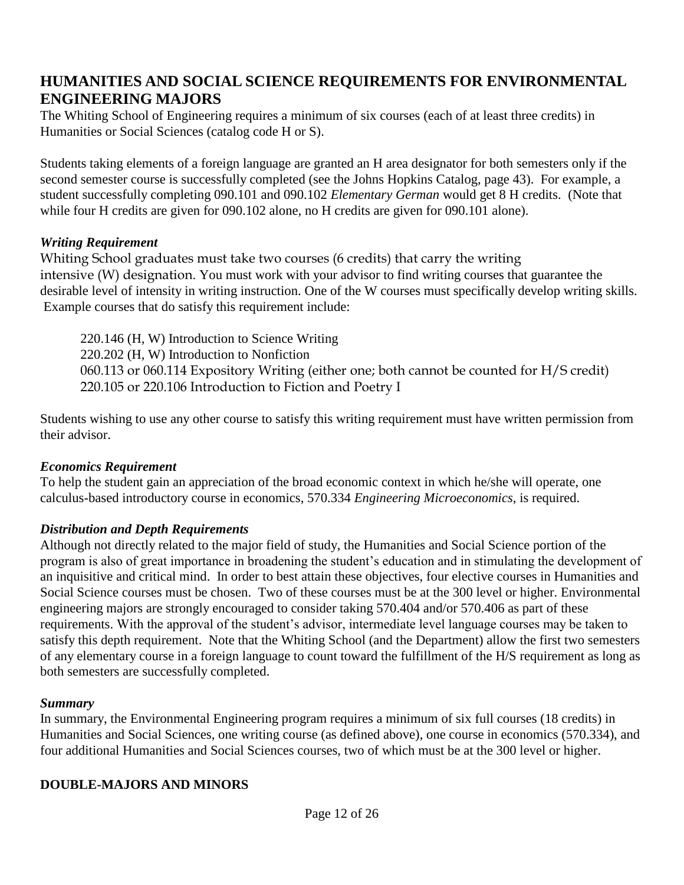# **HUMANITIES AND SOCIAL SCIENCE REQUIREMENTS FOR ENVIRONMENTAL ENGINEERING MAJORS**

The Whiting School of Engineering requires a minimum of six courses (each of at least three credits) in Humanities or Social Sciences (catalog code H or S).

Students taking elements of a foreign language are granted an H area designator for both semesters only if the second semester course is successfully completed (see the Johns Hopkins Catalog, page 43). For example, a student successfully completing 090.101 and 090.102 *Elementary German* would get 8 H credits. (Note that while four H credits are given for 090.102 alone, no H credits are given for 090.101 alone).

#### *Writing Requirement*

Whiting School graduates must take two courses (6 credits) that carry the writing intensive (W) designation. You must work with your advisor to find writing courses that guarantee the desirable level of intensity in writing instruction. One of the W courses must specifically develop writing skills. Example courses that do satisfy this requirement include:

220.146 (H, W) Introduction to Science Writing 220.202 (H, W) Introduction to Nonfiction 060.113 or 060.114 Expository Writing (either one; both cannot be counted for H/S credit) 220.105 or 220.106 Introduction to Fiction and Poetry I

Students wishing to use any other course to satisfy this writing requirement must have written permission from their advisor.

#### *Economics Requirement*

To help the student gain an appreciation of the broad economic context in which he/she will operate, one calculus-based introductory course in economics, 570.334 *Engineering Microeconomics*, is required.

### *Distribution and Depth Requirements*

Although not directly related to the major field of study, the Humanities and Social Science portion of the program is also of great importance in broadening the student's education and in stimulating the development of an inquisitive and critical mind. In order to best attain these objectives, four elective courses in Humanities and Social Science courses must be chosen. Two of these courses must be at the 300 level or higher. Environmental engineering majors are strongly encouraged to consider taking 570.404 and/or 570.406 as part of these requirements. With the approval of the student's advisor, intermediate level language courses may be taken to satisfy this depth requirement. Note that the Whiting School (and the Department) allow the first two semesters of any elementary course in a foreign language to count toward the fulfillment of the H/S requirement as long as both semesters are successfully completed.

#### *Summary*

In summary, the Environmental Engineering program requires a minimum of six full courses (18 credits) in Humanities and Social Sciences, one writing course (as defined above), one course in economics (570.334), and four additional Humanities and Social Sciences courses, two of which must be at the 300 level or higher.

#### **DOUBLE-MAJORS AND MINORS**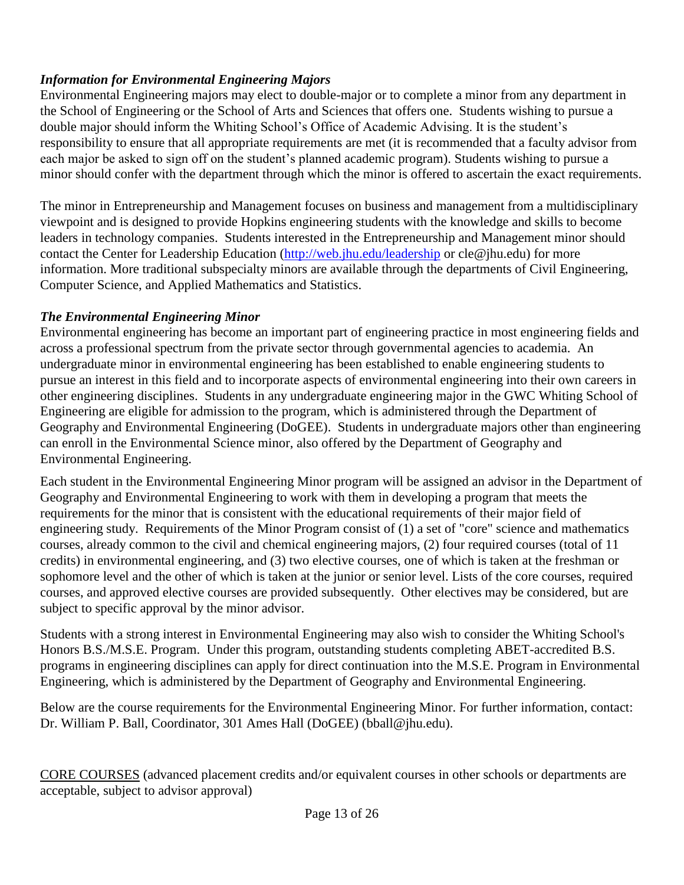## *Information for Environmental Engineering Majors*

Environmental Engineering majors may elect to double-major or to complete a minor from any department in the School of Engineering or the School of Arts and Sciences that offers one. Students wishing to pursue a double major should inform the Whiting School's Office of Academic Advising. It is the student's responsibility to ensure that all appropriate requirements are met (it is recommended that a faculty advisor from each major be asked to sign off on the student's planned academic program). Students wishing to pursue a minor should confer with the department through which the minor is offered to ascertain the exact requirements.

The minor in Entrepreneurship and Management focuses on business and management from a multidisciplinary viewpoint and is designed to provide Hopkins engineering students with the knowledge and skills to become leaders in technology companies. Students interested in the Entrepreneurship and Management minor should contact the Center for Leadership Education (http://web.jhu.edu/leadership or cle@jhu.edu) for more information. More traditional subspecialty minors are available through the departments of Civil Engineering, Computer Science, and Applied Mathematics and Statistics.

## *The Environmental Engineering Minor*

Environmental engineering has become an important part of engineering practice in most engineering fields and across a professional spectrum from the private sector through governmental agencies to academia. An undergraduate minor in environmental engineering has been established to enable engineering students to pursue an interest in this field and to incorporate aspects of environmental engineering into their own careers in other engineering disciplines. Students in any undergraduate engineering major in the GWC Whiting School of Engineering are eligible for admission to the program, which is administered through the Department of Geography and Environmental Engineering (DoGEE). Students in undergraduate majors other than engineering can enroll in the Environmental Science minor, also offered by the Department of Geography and Environmental Engineering.

Each student in the Environmental Engineering Minor program will be assigned an advisor in the Department of Geography and Environmental Engineering to work with them in developing a program that meets the requirements for the minor that is consistent with the educational requirements of their major field of engineering study. Requirements of the Minor Program consist of (1) a set of "core" science and mathematics courses, already common to the civil and chemical engineering majors, (2) four required courses (total of 11 credits) in environmental engineering, and (3) two elective courses, one of which is taken at the freshman or sophomore level and the other of which is taken at the junior or senior level. Lists of the core courses, required courses, and approved elective courses are provided subsequently. Other electives may be considered, but are subject to specific approval by the minor advisor.

Students with a strong interest in Environmental Engineering may also wish to consider the Whiting School's Honors B.S./M.S.E. Program. Under this program, outstanding students completing ABET-accredited B.S. programs in engineering disciplines can apply for direct continuation into the M.S.E. Program in Environmental Engineering, which is administered by the Department of Geography and Environmental Engineering.

Below are the course requirements for the Environmental Engineering Minor. For further information, contact: Dr. William P. Ball, Coordinator, 301 Ames Hall (DoGEE) (bball@jhu.edu).

CORE COURSES (advanced placement credits and/or equivalent courses in other schools or departments are acceptable, subject to advisor approval)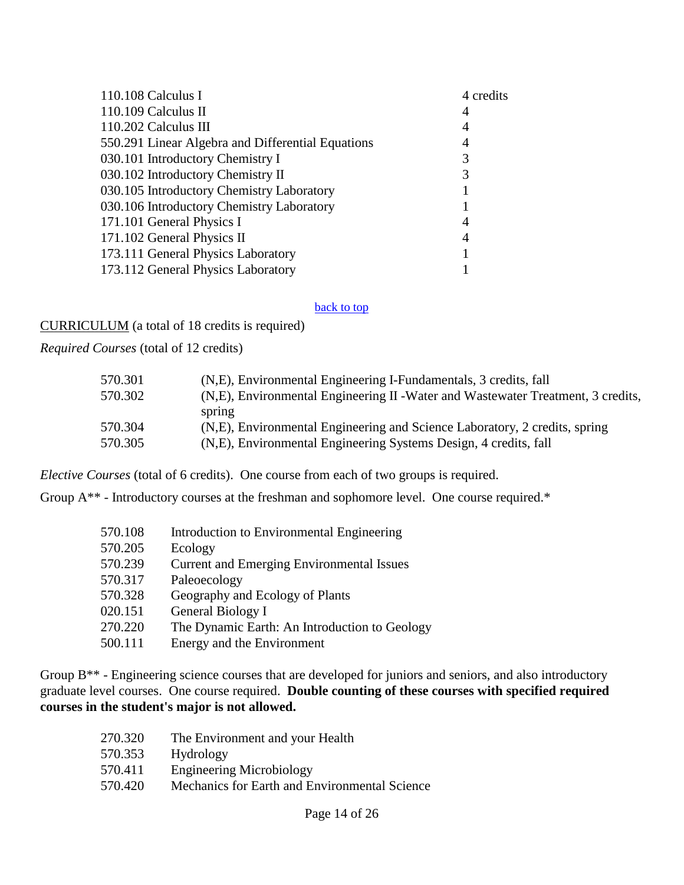| 110.108 Calculus I                                | 4 credits |
|---------------------------------------------------|-----------|
| $110.109$ Calculus II                             | 4         |
| 110.202 Calculus III                              | 4         |
| 550.291 Linear Algebra and Differential Equations | 4         |
| 030.101 Introductory Chemistry I                  |           |
| 030.102 Introductory Chemistry II                 |           |
| 030.105 Introductory Chemistry Laboratory         |           |
| 030.106 Introductory Chemistry Laboratory         |           |
| 171.101 General Physics I                         | 4         |
| 171.102 General Physics II                        | 4         |
| 173.111 General Physics Laboratory                |           |
| 173.112 General Physics Laboratory                |           |

#### back to top

CURRICULUM (a total of 18 credits is required)

*Required Courses* (total of 12 credits)

| 570.301 | (N,E), Environmental Engineering I-Fundamentals, 3 credits, fall                 |
|---------|----------------------------------------------------------------------------------|
| 570.302 | (N,E), Environmental Engineering II - Water and Wastewater Treatment, 3 credits, |
|         | spring                                                                           |
| 570.304 | (N,E), Environmental Engineering and Science Laboratory, 2 credits, spring       |
| 570.305 | (N,E), Environmental Engineering Systems Design, 4 credits, fall                 |

*Elective Courses* (total of 6 credits). One course from each of two groups is required.

Group A\*\* - Introductory courses at the freshman and sophomore level. One course required.\*

| 570.108 | Introduction to Environmental Engineering        |
|---------|--------------------------------------------------|
| 570.205 | Ecology                                          |
| 570.239 | <b>Current and Emerging Environmental Issues</b> |
| 570.317 | Paleoecology                                     |
| 570.328 | Geography and Ecology of Plants                  |
| 020.151 | General Biology I                                |
| 270.220 | The Dynamic Earth: An Introduction to Geology    |
| 500.111 | Energy and the Environment                       |

Group B<sup>\*\*</sup> - Engineering science courses that are developed for juniors and seniors, and also introductory graduate level courses. One course required. **Double counting of these courses with specified required courses in the student's major is not allowed.**

| 270.320 | The Environment and your Health               |
|---------|-----------------------------------------------|
| 570.353 | Hydrology                                     |
| 570.411 | <b>Engineering Microbiology</b>               |
| 570.420 | Mechanics for Earth and Environmental Science |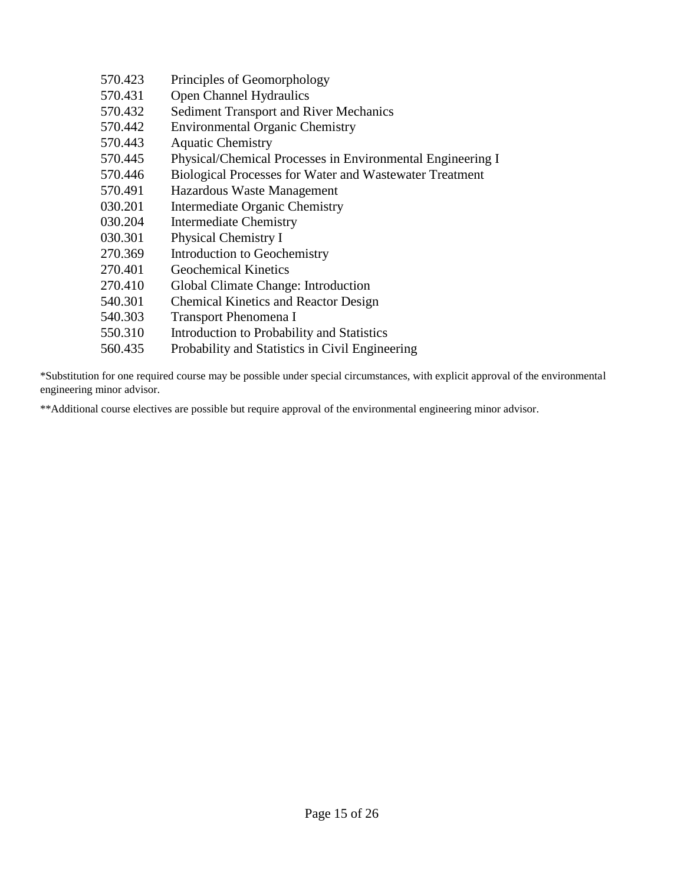| 570.423 | Principles of Geomorphology                                    |
|---------|----------------------------------------------------------------|
| 570.431 | Open Channel Hydraulics                                        |
| 570.432 | <b>Sediment Transport and River Mechanics</b>                  |
| 570.442 | <b>Environmental Organic Chemistry</b>                         |
| 570.443 | <b>Aquatic Chemistry</b>                                       |
| 570.445 | Physical/Chemical Processes in Environmental Engineering I     |
| 570.446 | <b>Biological Processes for Water and Wastewater Treatment</b> |
| 570.491 | Hazardous Waste Management                                     |
| 030.201 | Intermediate Organic Chemistry                                 |
| 030.204 | <b>Intermediate Chemistry</b>                                  |
| 030.301 | Physical Chemistry I                                           |
| 270.369 | Introduction to Geochemistry                                   |
| 270.401 | <b>Geochemical Kinetics</b>                                    |
| 270.410 | Global Climate Change: Introduction                            |
| 540.301 | <b>Chemical Kinetics and Reactor Design</b>                    |
| 540.303 | <b>Transport Phenomena I</b>                                   |
| 550.310 | Introduction to Probability and Statistics                     |
| 560.435 | Probability and Statistics in Civil Engineering                |

\*Substitution for one required course may be possible under special circumstances, with explicit approval of the environmental engineering minor advisor.

\*\*Additional course electives are possible but require approval of the environmental engineering minor advisor.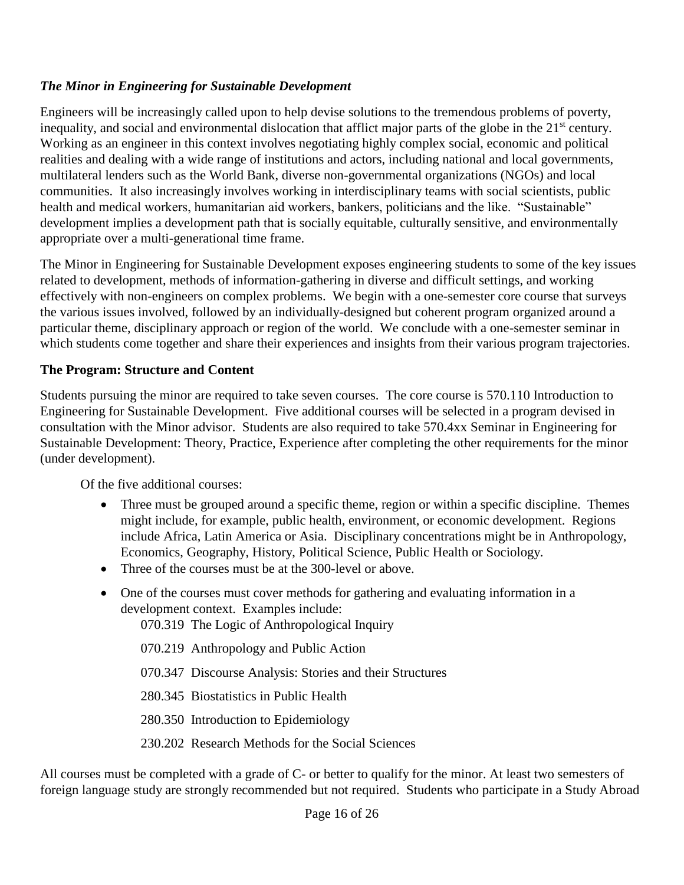### *The Minor in Engineering for Sustainable Development*

Engineers will be increasingly called upon to help devise solutions to the tremendous problems of poverty, inequality, and social and environmental dislocation that afflict major parts of the globe in the 21<sup>st</sup> century. Working as an engineer in this context involves negotiating highly complex social, economic and political realities and dealing with a wide range of institutions and actors, including national and local governments, multilateral lenders such as the World Bank, diverse non-governmental organizations (NGOs) and local communities. It also increasingly involves working in interdisciplinary teams with social scientists, public health and medical workers, humanitarian aid workers, bankers, politicians and the like. "Sustainable" development implies a development path that is socially equitable, culturally sensitive, and environmentally appropriate over a multi-generational time frame.

The Minor in Engineering for Sustainable Development exposes engineering students to some of the key issues related to development, methods of information-gathering in diverse and difficult settings, and working effectively with non-engineers on complex problems. We begin with a one-semester core course that surveys the various issues involved, followed by an individually-designed but coherent program organized around a particular theme, disciplinary approach or region of the world. We conclude with a one-semester seminar in which students come together and share their experiences and insights from their various program trajectories.

### **The Program: Structure and Content**

Students pursuing the minor are required to take seven courses. The core course is 570.110 Introduction to Engineering for Sustainable Development. Five additional courses will be selected in a program devised in consultation with the Minor advisor. Students are also required to take 570.4xx Seminar in Engineering for Sustainable Development: Theory, Practice, Experience after completing the other requirements for the minor (under development).

Of the five additional courses:

- Three must be grouped around a specific theme, region or within a specific discipline. Themes might include, for example, public health, environment, or economic development. Regions include Africa, Latin America or Asia. Disciplinary concentrations might be in Anthropology, Economics, Geography, History, Political Science, Public Health or Sociology.
- Three of the courses must be at the 300-level or above.
- One of the courses must cover methods for gathering and evaluating information in a development context. Examples include:

070.319 The Logic of Anthropological Inquiry

070.219 Anthropology and Public Action

070.347 Discourse Analysis: Stories and their Structures

280.345 Biostatistics in Public Health

280.350 Introduction to Epidemiology

230.202 Research Methods for the Social Sciences

All courses must be completed with a grade of C- or better to qualify for the minor. At least two semesters of foreign language study are strongly recommended but not required. Students who participate in a Study Abroad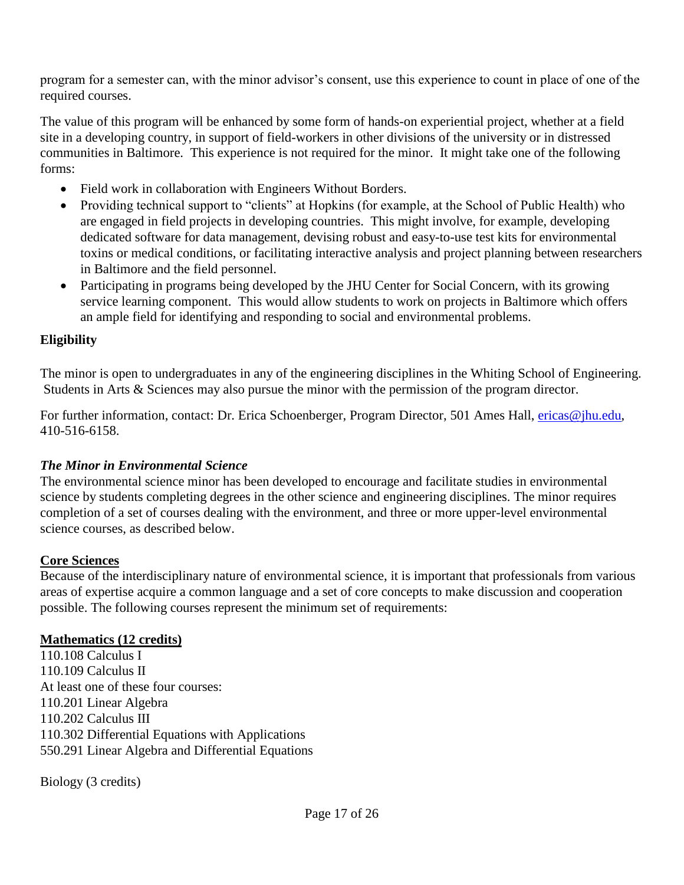program for a semester can, with the minor advisor's consent, use this experience to count in place of one of the required courses.

The value of this program will be enhanced by some form of hands-on experiential project, whether at a field site in a developing country, in support of field-workers in other divisions of the university or in distressed communities in Baltimore. This experience is not required for the minor. It might take one of the following forms:

- Field work in collaboration with Engineers Without Borders.
- Providing technical support to "clients" at Hopkins (for example, at the School of Public Health) who are engaged in field projects in developing countries. This might involve, for example, developing dedicated software for data management, devising robust and easy-to-use test kits for environmental toxins or medical conditions, or facilitating interactive analysis and project planning between researchers in Baltimore and the field personnel.
- Participating in programs being developed by the JHU Center for Social Concern, with its growing service learning component. This would allow students to work on projects in Baltimore which offers an ample field for identifying and responding to social and environmental problems.

### **Eligibility**

The minor is open to undergraduates in any of the engineering disciplines in the Whiting School of Engineering. Students in Arts & Sciences may also pursue the minor with the permission of the program director.

For further information, contact: Dr. Erica Schoenberger, Program Director, 501 Ames Hall, *ericas@jhu.edu*, 410-516-6158.

### *The Minor in Environmental Science*

The environmental science minor has been developed to encourage and facilitate studies in environmental science by students completing degrees in the other science and engineering disciplines. The minor requires completion of a set of courses dealing with the environment, and three or more upper-level environmental science courses, as described below.

#### **Core Sciences**

Because of the interdisciplinary nature of environmental science, it is important that professionals from various areas of expertise acquire a common language and a set of core concepts to make discussion and cooperation possible. The following courses represent the minimum set of requirements:

#### **Mathematics (12 credits)**

110.108 Calculus I 110.109 Calculus II At least one of these four courses: 110.201 Linear Algebra 110.202 Calculus III 110.302 Differential Equations with Applications 550.291 Linear Algebra and Differential Equations

Biology (3 credits)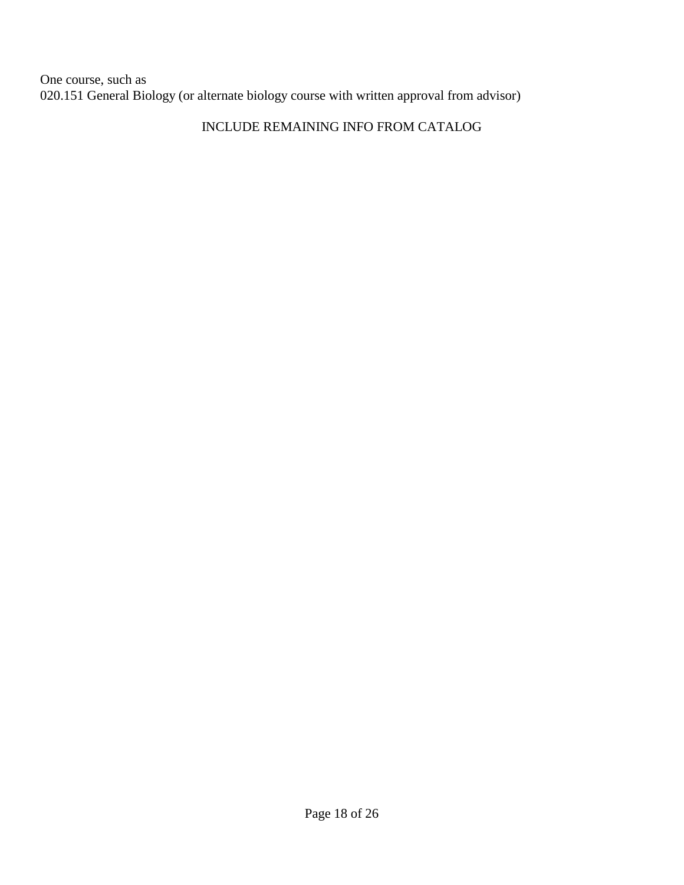One course, such as 020.151 General Biology (or alternate biology course with written approval from advisor)

## INCLUDE REMAINING INFO FROM CATALOG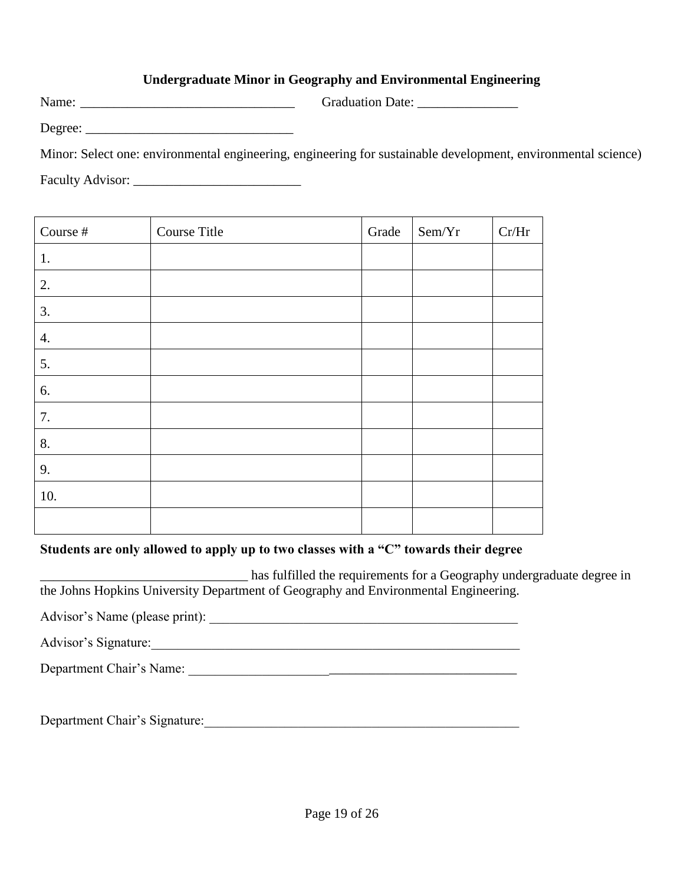#### **Undergraduate Minor in Geography and Environmental Engineering**

Name: \_\_\_\_\_\_\_\_\_\_\_\_\_\_\_\_\_\_\_\_\_\_\_\_\_\_\_\_\_\_\_\_ Graduation Date: \_\_\_\_\_\_\_\_\_\_\_\_\_\_\_

Degree: \_\_\_\_\_\_\_\_\_\_\_\_\_\_\_\_\_\_\_\_\_\_\_\_\_\_\_\_\_\_\_

Minor: Select one: environmental engineering, engineering for sustainable development, environmental science) Faculty Advisor: \_\_\_\_\_\_\_\_\_\_\_\_\_\_\_\_\_\_\_\_\_\_\_\_\_

| Course # | Course Title | Grade | Sem/Yr | $\mathrm{Cr}/\mathrm{Hr}$ |
|----------|--------------|-------|--------|---------------------------|
| 1.       |              |       |        |                           |
| 2.       |              |       |        |                           |
| 3.       |              |       |        |                           |
| 4.       |              |       |        |                           |
| 5.       |              |       |        |                           |
| 6.       |              |       |        |                           |
| 7.       |              |       |        |                           |
| 8.       |              |       |        |                           |
| 9.       |              |       |        |                           |
| 10.      |              |       |        |                           |
|          |              |       |        |                           |

### **Students are only allowed to apply up to two classes with a "C" towards their degree**

has fulfilled the requirements for a Geography undergraduate degree in the Johns Hopkins University Department of Geography and Environmental Engineering.

Advisor's Name (please print): \_\_\_\_\_\_\_\_\_\_\_\_\_\_\_\_\_\_\_\_\_\_\_\_\_\_\_\_\_\_\_\_\_\_\_\_\_\_\_\_\_\_\_\_\_\_

Advisor's Signature:

Department Chair's Name: \_\_\_\_\_\_\_\_\_\_\_\_\_\_\_\_\_\_\_\_\_\_\_\_\_\_\_\_\_\_\_\_\_\_\_\_\_\_\_\_\_\_\_\_\_\_\_\_\_

Department Chair's Signature: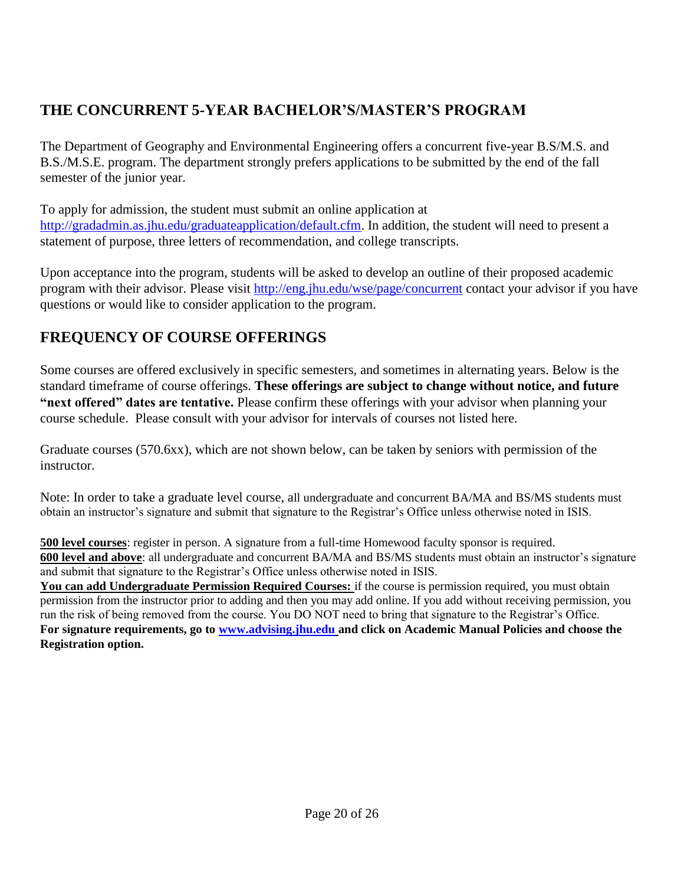# **THE CONCURRENT 5-YEAR BACHELOR'S/MASTER'S PROGRAM**

The Department of Geography and Environmental Engineering offers a concurrent five-year B.S/M.S. and B.S./M.S.E. program. The department strongly prefers applications to be submitted by the end of the fall semester of the junior year.

To apply for admission, the student must submit an online application at http://gradadmin.as.jhu.edu/graduateapplication/default.cfm. In addition, the student will need to present a statement of purpose, three letters of recommendation, and college transcripts.

Upon acceptance into the program, students will be asked to develop an outline of their proposed academic program with their advisor. Please visit http://eng.jhu.edu/wse/page/concurrent contact your advisor if you have questions or would like to consider application to the program.

# **FREQUENCY OF COURSE OFFERINGS**

Some courses are offered exclusively in specific semesters, and sometimes in alternating years. Below is the standard timeframe of course offerings. **These offerings are subject to change without notice, and future "next offered" dates are tentative.** Please confirm these offerings with your advisor when planning your course schedule. Please consult with your advisor for intervals of courses not listed here.

Graduate courses (570.6xx), which are not shown below, can be taken by seniors with permission of the instructor.

Note: In order to take a graduate level course, all undergraduate and concurrent BA/MA and BS/MS students must obtain an instructor's signature and submit that signature to the Registrar's Office unless otherwise noted in ISIS.

**500 level courses**: register in person. A signature from a full-time Homewood faculty sponsor is required. **600 level and above**: all undergraduate and concurrent BA/MA and BS/MS students must obtain an instructor's signature and submit that signature to the Registrar's Office unless otherwise noted in ISIS.

**You can add Undergraduate Permission Required Courses:** if the course is permission required, you must obtain permission from the instructor prior to adding and then you may add online. If you add without receiving permission, you run the risk of being removed from the course. You DO NOT need to bring that signature to the Registrar's Office. **For signature requirements, go to www.advising.jhu.edu and click on Academic Manual Policies and choose the Registration option.**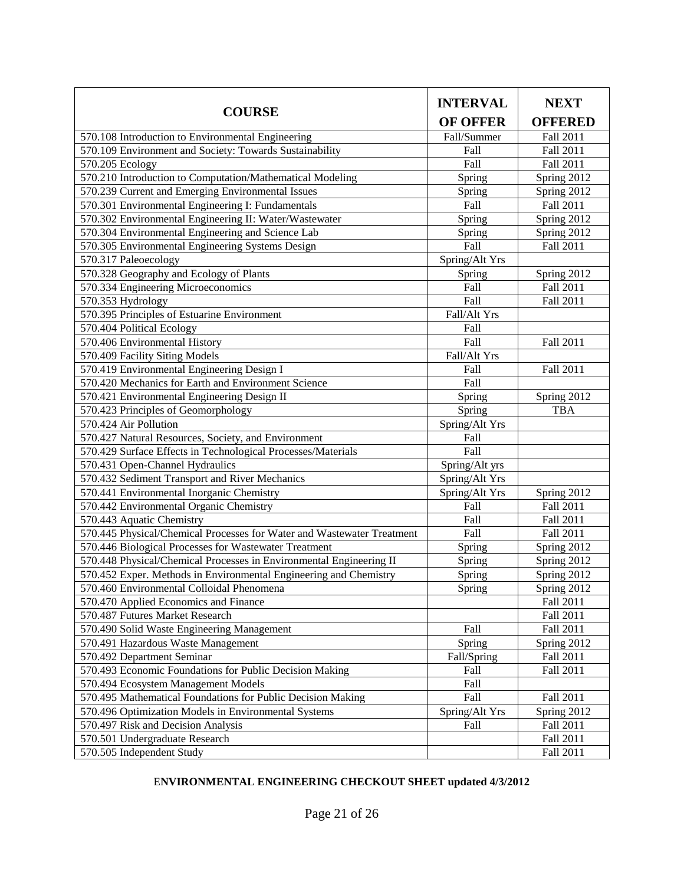| <b>COURSE</b>                                                          | <b>INTERVAL</b> | <b>NEXT</b>    |  |  |
|------------------------------------------------------------------------|-----------------|----------------|--|--|
|                                                                        | <b>OF OFFER</b> | <b>OFFERED</b> |  |  |
| 570.108 Introduction to Environmental Engineering                      | Fall/Summer     | Fall 2011      |  |  |
| 570.109 Environment and Society: Towards Sustainability                | Fall            | Fall 2011      |  |  |
| 570.205 Ecology                                                        | Fall            | Fall 2011      |  |  |
| 570.210 Introduction to Computation/Mathematical Modeling              | Spring          | Spring 2012    |  |  |
| 570.239 Current and Emerging Environmental Issues                      | Spring          | Spring 2012    |  |  |
| 570.301 Environmental Engineering I: Fundamentals                      | Fall            | Fall 2011      |  |  |
| 570.302 Environmental Engineering II: Water/Wastewater                 | Spring          | Spring 2012    |  |  |
| 570.304 Environmental Engineering and Science Lab                      | Spring          | Spring 2012    |  |  |
| 570.305 Environmental Engineering Systems Design                       | Fall            | Fall 2011      |  |  |
| 570.317 Paleoecology                                                   | Spring/Alt Yrs  |                |  |  |
| 570.328 Geography and Ecology of Plants                                | Spring          | Spring 2012    |  |  |
| 570.334 Engineering Microeconomics                                     | Fall            | Fall 2011      |  |  |
| 570.353 Hydrology                                                      | Fall            | Fall 2011      |  |  |
| 570.395 Principles of Estuarine Environment                            | Fall/Alt Yrs    |                |  |  |
| 570.404 Political Ecology                                              | Fall            |                |  |  |
| 570.406 Environmental History                                          | Fall            | Fall 2011      |  |  |
| 570.409 Facility Siting Models                                         | Fall/Alt Yrs    |                |  |  |
| 570.419 Environmental Engineering Design I                             | Fall            | Fall 2011      |  |  |
| 570.420 Mechanics for Earth and Environment Science                    | Fall            |                |  |  |
| 570.421 Environmental Engineering Design II                            | Spring          | Spring 2012    |  |  |
| 570.423 Principles of Geomorphology                                    | Spring          | <b>TBA</b>     |  |  |
| 570.424 Air Pollution                                                  | Spring/Alt Yrs  |                |  |  |
| 570.427 Natural Resources, Society, and Environment                    | Fall            |                |  |  |
| 570.429 Surface Effects in Technological Processes/Materials           | Fall            |                |  |  |
| 570.431 Open-Channel Hydraulics                                        | Spring/Alt yrs  |                |  |  |
| 570.432 Sediment Transport and River Mechanics                         | Spring/Alt Yrs  |                |  |  |
| 570.441 Environmental Inorganic Chemistry                              | Spring/Alt Yrs  | Spring 2012    |  |  |
| 570.442 Environmental Organic Chemistry                                | Fall            | Fall 2011      |  |  |
| 570.443 Aquatic Chemistry                                              | Fall            | Fall 2011      |  |  |
| 570.445 Physical/Chemical Processes for Water and Wastewater Treatment | Fall            | Fall 2011      |  |  |
| 570.446 Biological Processes for Wastewater Treatment                  | Spring          | Spring 2012    |  |  |
| 570.448 Physical/Chemical Processes in Environmental Engineering II    | Spring          | Spring 2012    |  |  |
| 570.452 Exper. Methods in Environmental Engineering and Chemistry      | Spring          | Spring 2012    |  |  |
| 570.460 Environmental Colloidal Phenomena                              | Spring          | Spring 2012    |  |  |
| 570.470 Applied Economics and Finance                                  |                 | Fall 2011      |  |  |
| 570.487 Futures Market Research                                        |                 | Fall 2011      |  |  |
| 570.490 Solid Waste Engineering Management                             | Fall            | Fall 2011      |  |  |
| 570.491 Hazardous Waste Management                                     | Spring          | Spring 2012    |  |  |
| 570.492 Department Seminar                                             | Fall/Spring     | Fall 2011      |  |  |
| 570.493 Economic Foundations for Public Decision Making                | Fall            | Fall 2011      |  |  |
| 570.494 Ecosystem Management Models                                    | Fall            |                |  |  |
| 570.495 Mathematical Foundations for Public Decision Making            | Fall            | Fall 2011      |  |  |
| 570.496 Optimization Models in Environmental Systems                   | Spring/Alt Yrs  | Spring 2012    |  |  |
| 570.497 Risk and Decision Analysis                                     | Fall            | Fall 2011      |  |  |
| 570.501 Undergraduate Research                                         |                 | Fall 2011      |  |  |
| 570.505 Independent Study                                              |                 | Fall 2011      |  |  |

### E**NVIRONMENTAL ENGINEERING CHECKOUT SHEET updated 4/3/2012**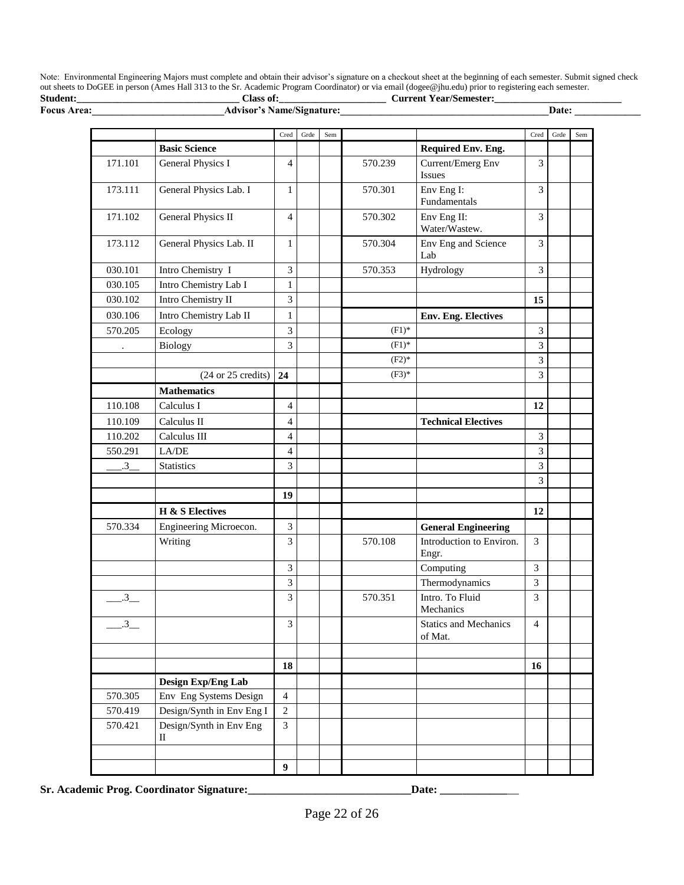Note: Environmental Engineering Majors must complete and obtain their advisor's signature on a checkout sheet at the beginning of each semester. Submit signed check out sheets to DoGEE in person (Ames Hall 313 to the Sr. Academic Program Coordinator) or via email (dogee@jhu.edu) prior to registering each semester. **Student:\_\_\_\_\_\_\_\_\_\_\_\_\_\_\_\_\_\_\_\_\_\_\_\_\_\_\_\_\_\_\_\_ Class of:\_\_\_\_\_\_\_\_\_\_\_\_\_\_\_\_\_\_\_\_\_ Current Year/Semester:\_\_\_\_\_\_\_\_\_\_\_\_\_\_\_\_\_\_\_\_\_\_\_\_\_**

| Focus Area:    | <b>Advisor's Name/Signature:</b>      |                  |      |     |          |                                         |                             | Date: |     |
|----------------|---------------------------------------|------------------|------|-----|----------|-----------------------------------------|-----------------------------|-------|-----|
|                |                                       | Cred             | Grde | Sem |          |                                         | Cred                        | Grde  | Sem |
|                | <b>Basic Science</b>                  |                  |      |     |          | Required Env. Eng.                      |                             |       |     |
| 171.101        | General Physics I                     | $\overline{4}$   |      |     | 570.239  | Current/Emerg Env<br>Issues             | 3                           |       |     |
| 173.111        | General Physics Lab. I                | 1                |      |     | 570.301  | Env Eng I:<br>Fundamentals              | 3                           |       |     |
| 171.102        | General Physics II                    | $\overline{4}$   |      |     | 570.302  | Env Eng II:<br>Water/Wastew.            | 3                           |       |     |
| 173.112        | General Physics Lab. II               | $\mathbf{1}$     |      |     | 570.304  | Env Eng and Science<br>Lab              | 3                           |       |     |
| 030.101        | Intro Chemistry I                     | $\mathfrak{Z}$   |      |     | 570.353  | Hydrology                               | 3                           |       |     |
| 030.105        | Intro Chemistry Lab I                 | $\mathbf{1}$     |      |     |          |                                         |                             |       |     |
| 030.102        | Intro Chemistry II                    | 3                |      |     |          |                                         | 15                          |       |     |
| 030.106        | Intro Chemistry Lab II                | 1                |      |     |          | <b>Env. Eng. Electives</b>              |                             |       |     |
| 570.205        | Ecology                               | $\mathfrak{Z}$   |      |     | $(F1)^*$ |                                         | $\ensuremath{\mathfrak{Z}}$ |       |     |
| $\blacksquare$ | Biology                               | $\overline{3}$   |      |     | $(F1)^*$ |                                         | 3                           |       |     |
|                |                                       |                  |      |     | $(F2)^*$ |                                         | $\overline{3}$              |       |     |
|                | $(24 \text{ or } 25 \text{ credits})$ | 24               |      |     | $(F3)*$  |                                         | 3                           |       |     |
|                | <b>Mathematics</b>                    |                  |      |     |          |                                         |                             |       |     |
| 110.108        | Calculus I                            | $\overline{4}$   |      |     |          |                                         | 12                          |       |     |
| 110.109        | Calculus II                           | $\overline{4}$   |      |     |          | <b>Technical Electives</b>              |                             |       |     |
| 110.202        | Calculus III                          | $\overline{4}$   |      |     |          |                                         | $\mathfrak{Z}$              |       |     |
| 550.291        | ${\rm L}\rm{A/DE}$                    | $\overline{4}$   |      |     |          |                                         | $\mathfrak{Z}$              |       |     |
| $-3$           | <b>Statistics</b>                     | 3                |      |     |          |                                         | $\mathfrak{Z}$              |       |     |
|                |                                       |                  |      |     |          |                                         | 3                           |       |     |
|                |                                       | 19               |      |     |          |                                         |                             |       |     |
|                | <b>H</b> & S Electives                |                  |      |     |          |                                         | 12                          |       |     |
| 570.334        | Engineering Microecon.                | $\mathfrak{Z}$   |      |     |          | <b>General Engineering</b>              |                             |       |     |
|                | Writing                               | 3                |      |     | 570.108  | Introduction to Environ.<br>Engr.       | $\mathfrak{Z}$              |       |     |
|                |                                       | 3                |      |     |          | Computing                               | $\overline{3}$              |       |     |
|                |                                       | $\overline{3}$   |      |     |          | Thermodynamics                          | $\overline{3}$              |       |     |
| $-3$           |                                       | 3                |      |     | 570.351  | Intro. To Fluid<br>Mechanics            | $\overline{3}$              |       |     |
| $.3\Box$       |                                       | 3                |      |     |          | <b>Statics and Mechanics</b><br>of Mat. | $\overline{4}$              |       |     |
|                |                                       |                  |      |     |          |                                         |                             |       |     |
|                |                                       | 18               |      |     |          |                                         | 16                          |       |     |
|                | Design Exp/Eng Lab                    |                  |      |     |          |                                         |                             |       |     |
| 570.305        | Env Eng Systems Design                | $\overline{4}$   |      |     |          |                                         |                             |       |     |
| 570.419        | Design/Synth in Env Eng I             | $\sqrt{2}$       |      |     |          |                                         |                             |       |     |
| 570.421        | Design/Synth in Env Eng<br>П          | 3                |      |     |          |                                         |                             |       |     |
|                |                                       |                  |      |     |          |                                         |                             |       |     |
|                |                                       | $\boldsymbol{9}$ |      |     |          |                                         |                             |       |     |

**Sr. Academic Prog. Coordinator Signature:\_\_\_\_\_\_\_\_\_\_\_\_\_\_\_\_\_\_\_\_\_\_\_\_\_\_\_\_\_Date: \_\_\_\_\_\_\_\_\_\_\_\_**\_\_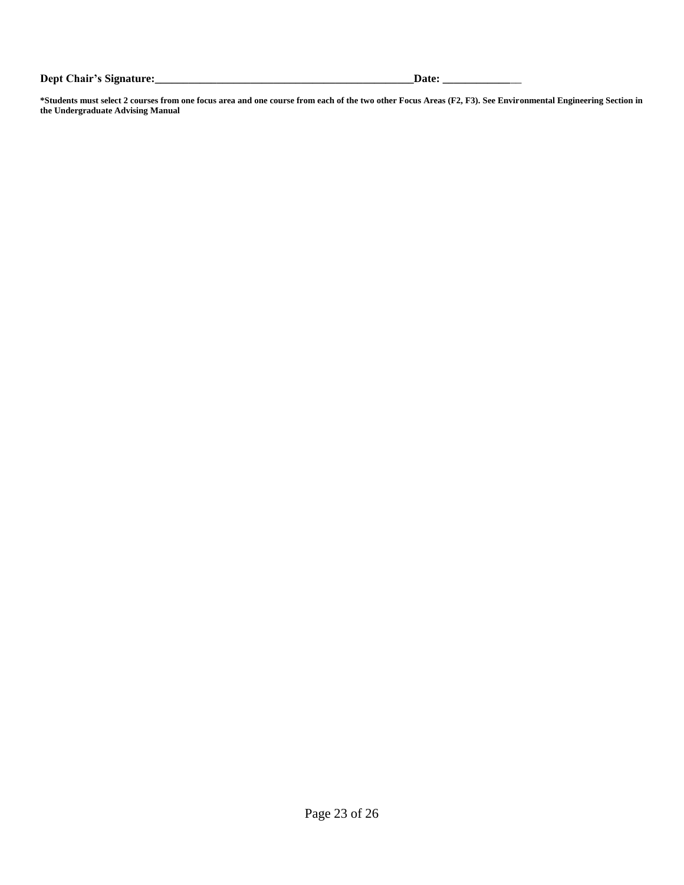**Dept Chair's Signature:\_\_\_\_\_\_\_\_\_\_\_\_\_\_\_\_\_\_\_\_\_\_\_\_\_\_\_\_\_\_\_\_\_\_\_\_\_\_\_\_\_\_\_\_\_\_Date: \_\_\_\_\_\_\_\_\_\_\_\_**\_\_

**\*Students must select 2 courses from one focus area and one course from each of the two other Focus Areas (F2, F3). See Environmental Engineering Section in the Undergraduate Advising Manual**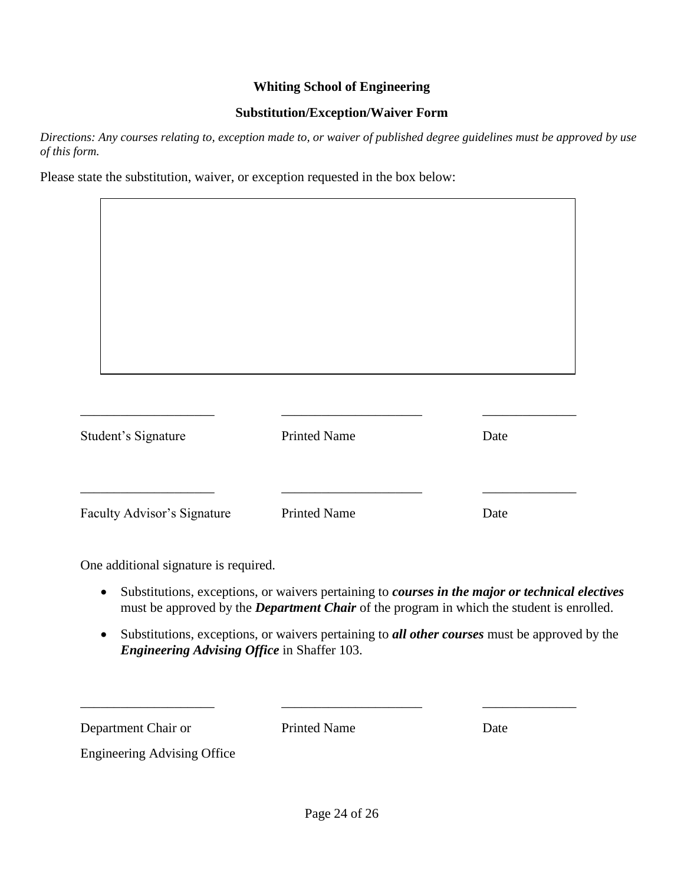#### **Whiting School of Engineering**

#### **Substitution/Exception/Waiver Form**

*Directions: Any courses relating to, exception made to, or waiver of published degree guidelines must be approved by use of this form.*

Please state the substitution, waiver, or exception requested in the box below:

| Student's Signature         | <b>Printed Name</b> | Date |
|-----------------------------|---------------------|------|
|                             |                     |      |
| Faculty Advisor's Signature | <b>Printed Name</b> | Date |

One additional signature is required.

- Substitutions, exceptions, or waivers pertaining to *courses in the major or technical electives*  must be approved by the *Department Chair* of the program in which the student is enrolled.
- Substitutions, exceptions, or waivers pertaining to *all other courses* must be approved by the *Engineering Advising Office* in Shaffer 103.

Department Chair or Printed Name Date

\_\_\_\_\_\_\_\_\_\_\_\_\_\_\_\_\_\_\_\_ \_\_\_\_\_\_\_\_\_\_\_\_\_\_\_\_\_\_\_\_\_ \_\_\_\_\_\_\_\_\_\_\_\_\_\_

٦

Engineering Advising Office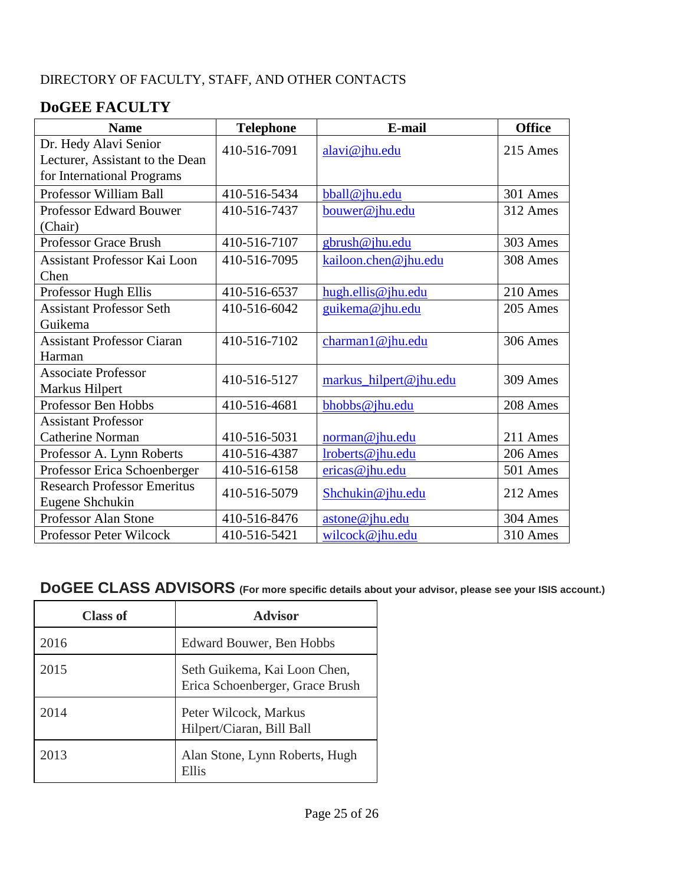## DIRECTORY OF FACULTY, STAFF, AND OTHER CONTACTS

# **DoGEE FACULTY**

| <b>Name</b>                                                                            | <b>Telephone</b> | E-mail                 | <b>Office</b> |
|----------------------------------------------------------------------------------------|------------------|------------------------|---------------|
| Dr. Hedy Alavi Senior<br>Lecturer, Assistant to the Dean<br>for International Programs | 410-516-7091     | alavi@jhu.edu          | 215 Ames      |
| Professor William Ball                                                                 | 410-516-5434     | bball@jhu.edu          | 301 Ames      |
| Professor Edward Bouwer<br>(Chair)                                                     | 410-516-7437     | bouwer@jhu.edu         | 312 Ames      |
| <b>Professor Grace Brush</b>                                                           | 410-516-7107     | gbrush@jhu.edu         | 303 Ames      |
| <b>Assistant Professor Kai Loon</b><br>Chen                                            | 410-516-7095     | kailoon.chen@jhu.edu   | 308 Ames      |
| Professor Hugh Ellis                                                                   | 410-516-6537     | hugh.ellis@jhu.edu     | 210 Ames      |
| <b>Assistant Professor Seth</b><br>Guikema                                             | 410-516-6042     | guikema@jhu.edu        | 205 Ames      |
| <b>Assistant Professor Ciaran</b><br>Harman                                            | 410-516-7102     | charman1@jhu.edu       | 306 Ames      |
| <b>Associate Professor</b><br>Markus Hilpert                                           | 410-516-5127     | markus_hilpert@jhu.edu | 309 Ames      |
| Professor Ben Hobbs                                                                    | 410-516-4681     | bhobbs@jhu.edu         | 208 Ames      |
| <b>Assistant Professor</b>                                                             |                  |                        |               |
| <b>Catherine Norman</b>                                                                | 410-516-5031     | norman@jhu.edu         | 211 Ames      |
| Professor A. Lynn Roberts                                                              | 410-516-4387     | lroberts@jhu.edu       | 206 Ames      |
| Professor Erica Schoenberger                                                           | 410-516-6158     | ericas@jhu.edu         | 501 Ames      |
| <b>Research Professor Emeritus</b><br>Eugene Shchukin                                  | 410-516-5079     | Shchukin@jhu.edu       | 212 Ames      |
| <b>Professor Alan Stone</b>                                                            | 410-516-8476     | astone@jhu.edu         | 304 Ames      |
| <b>Professor Peter Wilcock</b>                                                         | 410-516-5421     | wilcock@jhu.edu        | 310 Ames      |

# **DoGEE CLASS ADVISORS (For more specific details about your advisor, please see your ISIS account.)**

| <b>Class of</b> | <b>Advisor</b>                                                  |  |
|-----------------|-----------------------------------------------------------------|--|
| 2016            | Edward Bouwer, Ben Hobbs                                        |  |
| 2015            | Seth Guikema, Kai Loon Chen,<br>Erica Schoenberger, Grace Brush |  |
| 2014            | Peter Wilcock, Markus<br>Hilpert/Ciaran, Bill Ball              |  |
| 2013            | Alan Stone, Lynn Roberts, Hugh<br>Ellis                         |  |